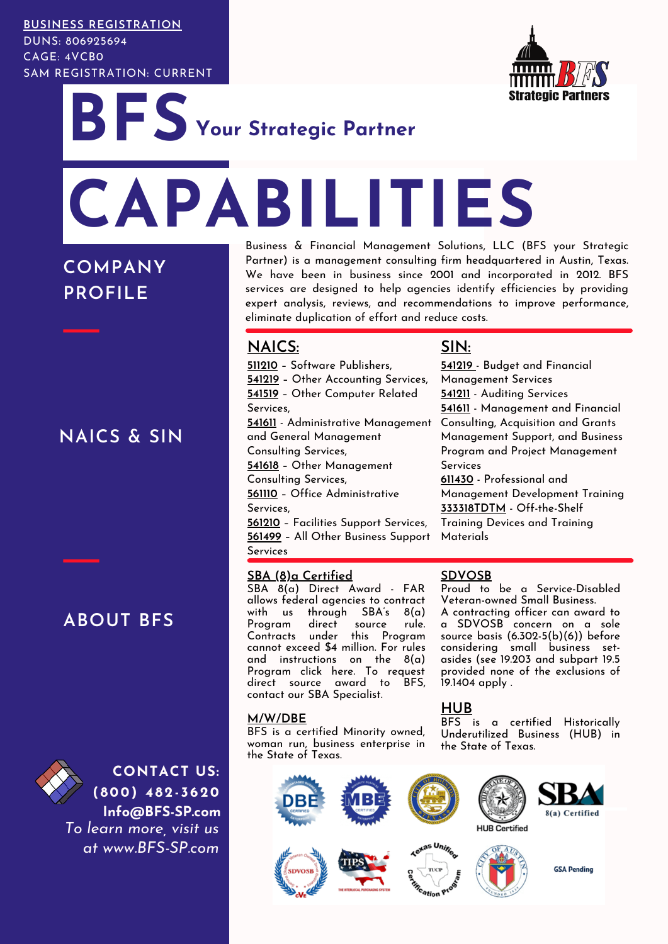#### **BUSINESS REGISTRATION**

DUNS: 806925694 CAGE: 4VCB0 SAM REGISTRATION: CURRENT



**BFS CAPABILITIES Your Strategic Partner**

**COMPANY PROFILE**

**NAICS & SIN**

**ABOUT BFS**



**CONTACT US: ( 800) 4 82- 3620 Info@BFS-SP.com** *To learn more, visit us at www.BFS-SP.com*

Business & Financial Management Solutions, LLC (BFS your Strategic Partner) is a management consulting firm headquartered in Austin, Texas. We have been in business since 2001 and incorporated in 2012. BFS services are designed to help agencies identify efficiencies by providing expert analysis, reviews, and recommendations to improve performance, eliminate duplication of effort and reduce costs.

# **NAICS:**

**511210** – Software Publishers, **541219** – Other Accounting Services, **541519** – Other Computer Related Services, **541611** - Administrative Management Consulting, Acquisition and Grants and General Management Consulting Services, **541618** – Other Management Consulting Services, **561110** – Office Administrative Services, **561210** – Facilities Support Services,

**561499** – All Other Business Support Services

## **SBA (8)a Certified**

SBA 8(a) Direct Award - FAR allows federal agencies to contract with us through SBA's 8(a) Program direct source rule. Contracts under this Program cannot exceed \$4 million. For rules and instructions on the 8(a) Program click [here](https://www.sba.gov/federal-contracting/contracting-assistance-programs/8a-business-development-program). To request direct source award to BFS, contact our SBA [Specialist.](mailto:eric.spencer@sba.gov)

#### **M/W/DBE**

BFS is a certified Minority owned, woman run, business enterprise in the State of Texas.

# **SIN:**

**541219** - Budget and Financial Management Services **541211** - Auditing Services **541611** - Management and Financial Management Support, and Business Program and Project Management Services

**611430** - Professional and Management Development Training **333318TDTM** - Off-the-Shelf

Training Devices and Training Materials

## **SDVOSB**

Proud to be a Service-Disabled Veteran-owned Small Business. A contracting officer can award to a SDVOSB concern on a sole source basis [\(6.302-5\(b\)\(6\)\)](https://www.law.cornell.edu/cfr/text/48/6.302-5#b_6) before considering small business setasides (see [19.203](https://www.law.cornell.edu/cfr/text/48/19.203) and subpart 19.5 provided none of the exclusions of [19.1404](https://www.law.cornell.edu/cfr/text/48/part-19/subpart-19.5) apply .

# **HUB**

BFS is a certified Historically Underutilized Business (HUB) in the State of Texas.